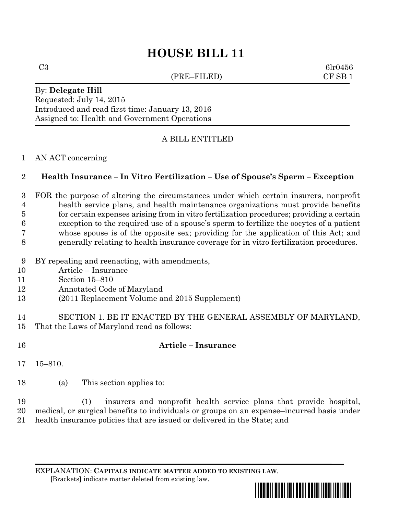# **HOUSE BILL 11**

(PRE–FILED) CF SB 1

 $C3 \hspace{2.5cm} \text{6lr0456}$ 

### By: **Delegate Hill** Requested: July 14, 2015 Introduced and read first time: January 13, 2016 Assigned to: Health and Government Operations

# A BILL ENTITLED

### AN ACT concerning

# **Health Insurance – In Vitro Fertilization – Use of Spouse's Sperm – Exception**

 FOR the purpose of altering the circumstances under which certain insurers, nonprofit health service plans, and health maintenance organizations must provide benefits for certain expenses arising from in vitro fertilization procedures; providing a certain exception to the required use of a spouse's sperm to fertilize the oocytes of a patient whose spouse is of the opposite sex; providing for the application of this Act; and generally relating to health insurance coverage for in vitro fertilization procedures.

- BY repealing and reenacting, with amendments,
- Article Insurance
- Section 15–810
- Annotated Code of Maryland
- (2011 Replacement Volume and 2015 Supplement)
- SECTION 1. BE IT ENACTED BY THE GENERAL ASSEMBLY OF MARYLAND, That the Laws of Maryland read as follows:
- **Article – Insurance**
- 15–810.
- (a) This section applies to:

 (1) insurers and nonprofit health service plans that provide hospital, medical, or surgical benefits to individuals or groups on an expense–incurred basis under health insurance policies that are issued or delivered in the State; and

EXPLANATION: **CAPITALS INDICATE MATTER ADDED TO EXISTING LAW**.  **[**Brackets**]** indicate matter deleted from existing law.

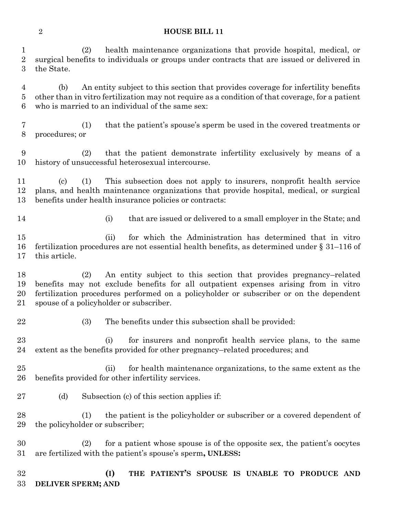### **HOUSE BILL 11**

 (2) health maintenance organizations that provide hospital, medical, or surgical benefits to individuals or groups under contracts that are issued or delivered in the State.

 (b) An entity subject to this section that provides coverage for infertility benefits other than in vitro fertilization may not require as a condition of that coverage, for a patient who is married to an individual of the same sex:

 (1) that the patient's spouse's sperm be used in the covered treatments or procedures; or

 (2) that the patient demonstrate infertility exclusively by means of a history of unsuccessful heterosexual intercourse.

 (c) (1) This subsection does not apply to insurers, nonprofit health service plans, and health maintenance organizations that provide hospital, medical, or surgical benefits under health insurance policies or contracts:

(i) that are issued or delivered to a small employer in the State; and

 (ii) for which the Administration has determined that in vitro fertilization procedures are not essential health benefits, as determined under § 31–116 of this article.

 (2) An entity subject to this section that provides pregnancy–related benefits may not exclude benefits for all outpatient expenses arising from in vitro fertilization procedures performed on a policyholder or subscriber or on the dependent spouse of a policyholder or subscriber.

(3) The benefits under this subsection shall be provided:

 (i) for insurers and nonprofit health service plans, to the same extent as the benefits provided for other pregnancy–related procedures; and

 (ii) for health maintenance organizations, to the same extent as the benefits provided for other infertility services.

(d) Subsection (c) of this section applies if:

 (1) the patient is the policyholder or subscriber or a covered dependent of the policyholder or subscriber;

 (2) for a patient whose spouse is of the opposite sex, the patient's oocytes are fertilized with the patient's spouse's sperm**, UNLESS:**

 **(I) THE PATIENT'S SPOUSE IS UNABLE TO PRODUCE AND DELIVER SPERM; AND**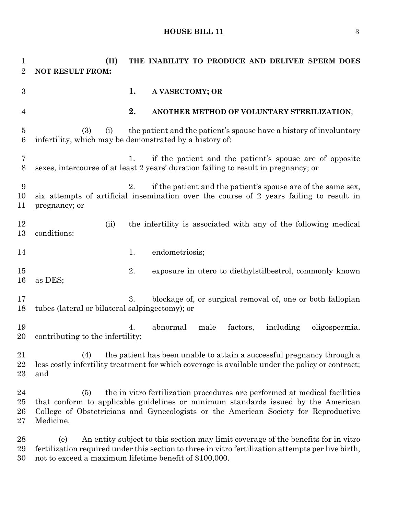#### **HOUSE BILL 11** 3

 **(II) THE INABILITY TO PRODUCE AND DELIVER SPERM DOES NOT RESULT FROM: 1. A VASECTOMY; OR 2. ANOTHER METHOD OF VOLUNTARY STERILIZATION**; (3) (i) the patient and the patient's spouse have a history of involuntary infertility, which may be demonstrated by a history of: 1. if the patient and the patient's spouse are of opposite sexes, intercourse of at least 2 years' duration failing to result in pregnancy; or 2. if the patient and the patient's spouse are of the same sex, six attempts of artificial insemination over the course of 2 years failing to result in pregnancy; or 12 (ii) the infertility is associated with any of the following medical conditions: 14 1. endometriosis; 2. exposure in utero to diethylstilbestrol, commonly known as DES; 3. blockage of, or surgical removal of, one or both fallopian tubes (lateral or bilateral salpingectomy); or 4. abnormal male factors, including oligospermia, contributing to the infertility; (4) the patient has been unable to attain a successful pregnancy through a less costly infertility treatment for which coverage is available under the policy or contract; and (5) the in vitro fertilization procedures are performed at medical facilities that conform to applicable guidelines or minimum standards issued by the American College of Obstetricians and Gynecologists or the American Society for Reproductive Medicine. (e) An entity subject to this section may limit coverage of the benefits for in vitro fertilization required under this section to three in vitro fertilization attempts per live birth, not to exceed a maximum lifetime benefit of \$100,000.